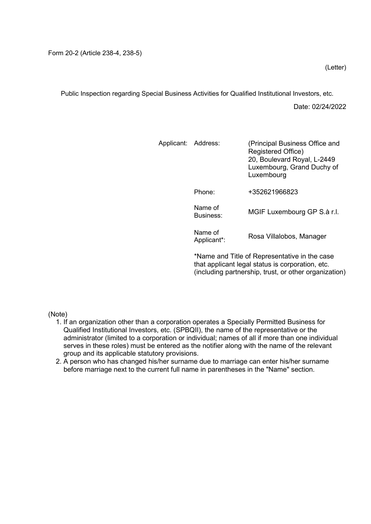Public Inspection regarding Special Business Activities for Qualified Institutional Investors, etc.

Date: 02/24/2022

| Applicant: Address: |                        | (Principal Business Office and<br>Registered Office)<br>20, Boulevard Royal, L-2449<br>Luxembourg, Grand Duchy of<br>Luxembourg |  |  |  |  |
|---------------------|------------------------|---------------------------------------------------------------------------------------------------------------------------------|--|--|--|--|
|                     | Phone:                 | +352621966823                                                                                                                   |  |  |  |  |
|                     | Name of<br>Business:   | MGIF Luxembourg GP S.à r.l.                                                                                                     |  |  |  |  |
|                     | Name of<br>Applicant*: | Rosa Villalobos, Manager                                                                                                        |  |  |  |  |
|                     |                        |                                                                                                                                 |  |  |  |  |

\*Name and Title of Representative in the case that applicant legal status is corporation, etc. (including partnership, trust, or other organization)

(Note)

- 1. If an organization other than a corporation operates a Specially Permitted Business for Qualified Institutional Investors, etc. (SPBQII), the name of the representative or the administrator (limited to a corporation or individual; names of all if more than one individual serves in these roles) must be entered as the notifier along with the name of the relevant group and its applicable statutory provisions.
- 2. A person who has changed his/her surname due to marriage can enter his/her surname before marriage next to the current full name in parentheses in the "Name" section.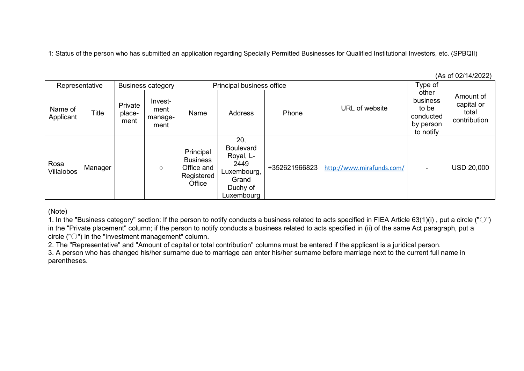1: Status of the person who has submitted an application regarding Specially Permitted Businesses for Qualified Institutional Investors, etc. (SPBQII)

(As of 02/14/2022)

| <b>Business category</b><br>Representative |              | Principal business office |                                    |                                                                    |                                                                                                | Type of       |                           |                                                                   |                                                  |
|--------------------------------------------|--------------|---------------------------|------------------------------------|--------------------------------------------------------------------|------------------------------------------------------------------------------------------------|---------------|---------------------------|-------------------------------------------------------------------|--------------------------------------------------|
| Name of<br>Applicant                       | <b>Title</b> | Private<br>place-<br>ment | Invest-<br>ment<br>manage-<br>ment | Name                                                               | <b>Address</b>                                                                                 | Phone         | URL of website            | other<br>business<br>to be<br>conducted<br>by person<br>to notify | Amount of<br>capital or<br>total<br>contribution |
| Rosa<br>Villalobos                         | Manager      |                           | $\circ$                            | Principal<br><b>Business</b><br>Office and<br>Registered<br>Office | 20.<br><b>Boulevard</b><br>Royal, L-<br>2449<br>Luxembourg,<br>Grand<br>Duchy of<br>Luxembourg | +352621966823 | http://www.mirafunds.com/ | $\sim$                                                            | <b>USD 20,000</b>                                |

(Note)

1. In the "Business category" section: If the person to notify conducts a business related to acts specified in FIEA Article 63(1)(i) , put a circle ("○") in the "Private placement" column; if the person to notify conducts a business related to acts specified in (ii) of the same Act paragraph, put a circle ("○") in the "Investment management" column.

2. The "Representative" and "Amount of capital or total contribution" columns must be entered if the applicant is a juridical person.

3. A person who has changed his/her surname due to marriage can enter his/her surname before marriage next to the current full name in parentheses.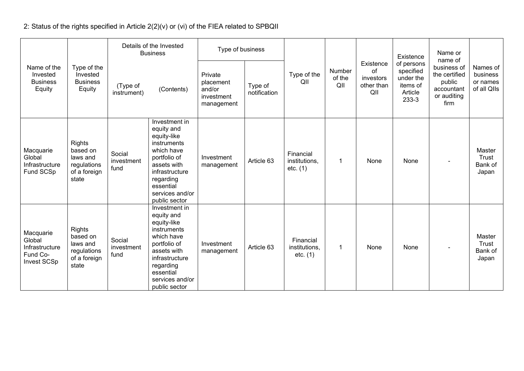2: Status of the rights specified in Article 2(2)(v) or (vi) of the FIEA related to SPBQII

|                                                                  |                                                                               |                              | Details of the Invested<br><b>Business</b>                                                                                                                                             | Type of business                                           |                         |                                        |                         |                                                              | Existence                                                            | Name or<br>name of                                                          |                                                 |
|------------------------------------------------------------------|-------------------------------------------------------------------------------|------------------------------|----------------------------------------------------------------------------------------------------------------------------------------------------------------------------------------|------------------------------------------------------------|-------------------------|----------------------------------------|-------------------------|--------------------------------------------------------------|----------------------------------------------------------------------|-----------------------------------------------------------------------------|-------------------------------------------------|
| Name of the<br>Invested<br><b>Business</b><br>Equity             | Type of the<br>Invested<br><b>Business</b><br>Equity                          | (Type of<br>instrument)      | (Contents)                                                                                                                                                                             | Private<br>placement<br>and/or<br>investment<br>management | Type of<br>notification | Type of the<br>QII                     | Number<br>of the<br>QII | Existence<br><sub>of</sub><br>investors<br>other than<br>QII | of persons<br>specified<br>under the<br>items of<br>Article<br>233-3 | business of<br>the certified<br>public<br>accountant<br>or auditing<br>firm | Names of<br>business<br>or names<br>of all QIIs |
| Macquarie<br>Global<br>Infrastructure<br>Fund SCSp               | <b>Rights</b><br>based on<br>laws and<br>regulations<br>of a foreign<br>state | Social<br>investment<br>fund | Investment in<br>equity and<br>equity-like<br>instruments<br>which have<br>portfolio of<br>assets with<br>infrastructure<br>regarding<br>essential<br>services and/or<br>public sector | Investment<br>management                                   | Article 63              | Financial<br>institutions,<br>etc. (1) | $\mathbf 1$             | None                                                         | None                                                                 |                                                                             | Master<br>Trust<br>Bank of<br>Japan             |
| Macquarie<br>Global<br>Infrastructure<br>Fund Co-<br>Invest SCSp | <b>Rights</b><br>based on<br>laws and<br>regulations<br>of a foreign<br>state | Social<br>investment<br>fund | Investment in<br>equity and<br>equity-like<br>instruments<br>which have<br>portfolio of<br>assets with<br>infrastructure<br>regarding<br>essential<br>services and/or<br>public sector | Investment<br>management                                   | Article 63              | Financial<br>institutions,<br>etc. (1) | $\overline{1}$          | None                                                         | None                                                                 |                                                                             | Master<br><b>Trust</b><br>Bank of<br>Japan      |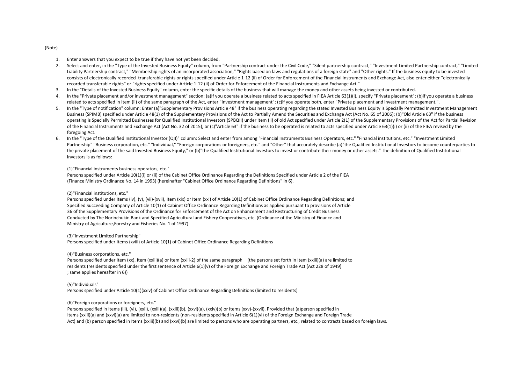### 1. Enter answers that you expect to be true if they have not yet been decided.

- 2. Select and enter, in the "Type of the Invested Business Equity" column, from "Partnership contract under the Civil Code," "Silent partnership contract," "Investment Limited Partnership contract," "Limited Liability Partnership contract," "Membership rights of an incorporated association," "Rights based on laws and regulations of a foreign state" and "Other rights." If the business equity to be invested consists of electronically recorded transferable rights or rights specified under Article 1-12 (ii) of Order for Enforcement of the Financial Instruments and Exchange Act, also enter either "electronically recorded transferable rights" or "rights specified under Article 1-12 (ii) of Order for Enforcement of the Financial Instruments and Exchange Act."
- 3. In the "Details of the Invested Business Equity" column, enter the specific details of the business that will manage the money and other assets being invested or contributed.
- 4. In the "Private placement and/or investment management" section: (a)If you operate a business related to acts specified in FIEA Article 63(1)(i), specify "Private placement"; (b)if you operate a business related to acts specified in Item (ii) of the same paragraph of the Act, enter "Investment management"; (c)if you operate both, enter "Private placement and investment management.".
- 5. In the "Type of notification" column: Enter (a)"Supplementary Provisions Article 48" if the business operating regarding the stated Invested Business Equity is Specially Permitted Investment Management Business (SPIMB) specified under Article 48(1) of the Supplementary Provisions of the Act to Partially Amend the Securities and Exchange Act (Act No. 65 of 2006); (b)"Old Article 63" if the business operating is Specially Permitted Businesses for Qualified Institutional Investors (SPBQII) under item (ii) of old Act specified under Article 2(1) of the Supplementary Provisions of the Act for Partial Revision of the Financial Instruments and Exchange Act (Act No. 32 of 2015); or (c)"Article 63" if the business to be operated is related to acts specified under Article 63(1)(i) or (ii) of the FIEA revised by the foregoing Act.
- 6. In the "Type of the Qualified Institutional Investor (QII)" column: Select and enter from among "Financial Instruments Business Operators, etc." "Financial institutions, etc." "Investment Limited Partnership" "Business corporation, etc." "Individual," "Foreign corporations or foreigners, etc." and "Other" that accurately describe (a)"the Qualified Institutional Investors to become counterparties to the private placement of the said Invested Business Equity," or (b)"the Qualified Institutional Investors to invest or contribute their money or other assets." The definition of Qualified Institutional Investors is as follows:

### (1)"Financial instruments business operators, etc."

Persons specified under Article 10(1)(i) or (ii) of the Cabinet Office Ordinance Regarding the Definitions Specified under Article 2 of the FIEA (Finance Ministry Ordinance No. 14 in 1993) (hereinafter "Cabinet Office Ordinance Regarding Definitions" in 6).

### (2)"Financial institutions, etc."

Persons specified under Items (iv), (v), (vii)-(xvii), Item (xix) or Item (xxi) of Article 10(1) of Cabinet Office Ordinance Regarding Definitions; and Specified Succeeding Company of Article 10(1) of Cabinet Office Ordinance Regarding Definitions as applied pursuant to provisions of Article 36 of the Supplementary Provisions of the Ordinance for Enforcement of the Act on Enhancement and Restructuring of Credit Business Conducted by The Norinchukin Bank and Specified Agricultural and Fishery Cooperatives, etc. (Ordinance of the Ministry of Finance and Ministry of Agriculture,Forestry and Fisheries No. 1 of 1997)

### (3)"Investment Limited Partnership"

Persons specified under Items (xviii) of Article 10(1) of Cabinet Office Ordinance Regarding Definitions

### (4)"Business corporations, etc."

Persons specified under Item (xx), Item (xxiii)(a) or Item (xxiii-2) of the same paragraph (the persons set forth in Item (xxiii)(a) are limited to residents (residents specified under the first sentence of Article 6(1)(v) of the Foreign Exchange and Foreign Trade Act (Act 228 of 1949) ; same applies hereafter in 6))

# (5)"Individuals"

Persons specified under Article 10(1)(xxiv) of Cabinet Office Ordinance Regarding Definitions (limited to residents)

### (6)"Foreign corporations or foreigners, etc."

Persons specified in Items (iii), (vi), (xxii), (xxiii)(a), (xxiii)(b), (xxvi)(a), (xxiv)(b) or Items (xxv)-(xxvii). Provided that (a)person specified in Items (xxiii)(a) and (xxvi)(a) are limited to non-residents (non-residents specified in Article 6(1)(vi) of the Foreign Exchange and Foreign Trade Act) and (b) person specified in Items (xxiii)(b) and (xxvi)(b) are limited to persons who are operating partners, etc., related to contracts based on foreign laws.

#### (Note)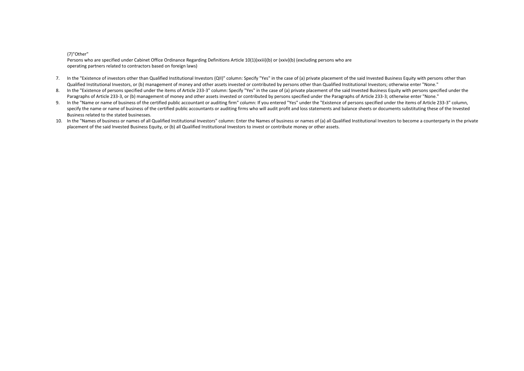## (7)"Other"

Persons who are specified under Cabinet Office Ordinance Regarding Definitions Article 10(1)(xxiii)(b) or (xxiv)(b) (excluding persons who are operating partners related to contractors based on foreign laws)

- 7. In the "Existence of investors other than Qualified Institutional Investors (QII)" column: Specify "Yes" in the case of (a) private placement of the said Invested Business Equity with persons other than Qualified Institutional Investors, or (b) management of money and other assets invested or contributed by persons other than Qualified Institutional Investors; otherwise enter "None."
- 8. In the "Existence of persons specified under the items of Article 233-3" column: Specify "Yes" in the case of (a) private placement of the said Invested Business Equity with persons specified under the Paragraphs of Article 233-3, or (b) management of money and other assets invested or contributed by persons specified under the Paragraphs of Article 233-3; otherwise enter "None."
- 9. In the "Name or name of business of the certified public accountant or auditing firm" column: If you entered "Yes" under the "Existence of persons specified under the items of Article 233-3" column, specify the name or name of business of the certified public accountants or auditing firms who will audit profit and loss statements and balance sheets or documents substituting these of the Invested Business related to the stated businesses.
- 10. In the "Names of business or names of all Qualified Institutional Investors" column: Enter the Names of business or names of (a) all Qualified Institutional Investors to become a counterparty in the private placement of the said Invested Business Equity, or (b) all Qualified Institutional Investors to invest or contribute money or other assets.